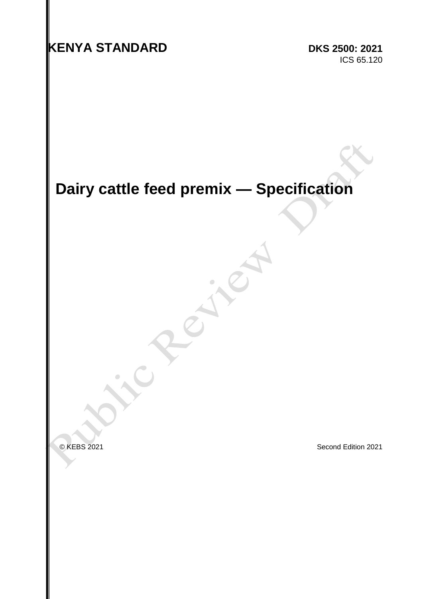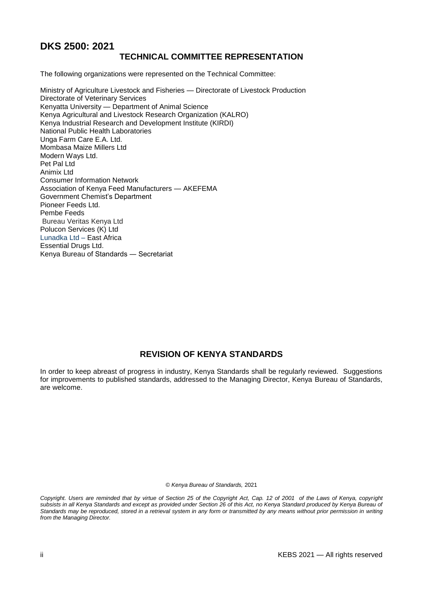# **DKS 2500: 2021**

# **TECHNICAL COMMITTEE REPRESENTATION**

The following organizations were represented on the Technical Committee:

Ministry of Agriculture Livestock and Fisheries — Directorate of Livestock Production Directorate of Veterinary Services Kenyatta University — Department of Animal Science Kenya Agricultural and Livestock Research Organization (KALRO) Kenya Industrial Research and Development Institute (KIRDI) National Public Health Laboratories Unga Farm Care E.A. Ltd. Mombasa Maize Millers Ltd Modern Ways Ltd. Pet Pal Ltd Animix Ltd Consumer Information Network Association of Kenya Feed Manufacturers — AKEFEMA Government Chemist's Department Pioneer Feeds Ltd. Pembe Feeds Bureau Veritas Kenya Ltd Polucon Services (K) Ltd Lunadka Ltd – East Africa Essential Drugs Ltd. Kenya Bureau of Standards ― Secretariat

# **REVISION OF KENYA STANDARDS**

In order to keep abreast of progress in industry, Kenya Standards shall be regularly reviewed. Suggestions for improvements to published standards, addressed to the Managing Director, Kenya Bureau of Standards, are welcome.

© *Kenya Bureau of Standards,* 2021

*Copyright. Users are reminded that by virtue of Section 25 of the Copyright Act, Cap. 12 of 2001 of the Laws of Kenya, copyright subsists in all Kenya Standards and except as provided under Section 26 of this Act, no Kenya Standard produced by Kenya Bureau of*  Standards may be reproduced, stored in a retrieval system in any form or transmitted by any means without prior permission in writing *from the Managing Director.*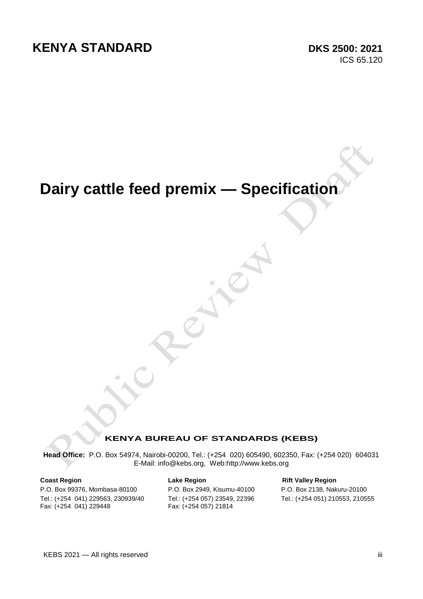# **Dairy cattle feed premix — Specification**

# **KENYA BUREAU OF STANDARDS (KEBS)**

**Head Office:** P.O. Box 54974, Nairobi-00200, Tel.: (+254 020) 605490, 602350, Fax: (+254 020) 604031 E-Mail: info@kebs.org, Web:http://www.kebs.org

Tel.: (+254 041) 229563, 230939/40 Tel.: (+254 057) 23549, 22396 Tel.: (+254 051) 210553, 210555 Fax: (+254 041) 229448

P.O. Box 99376, Mombasa-80100 P.O. Box 2949, Kisumu-40100 P.O. Box 2138, Nakuru-20100

**Coast Region Coast Region Lake Region Rift Valley Region**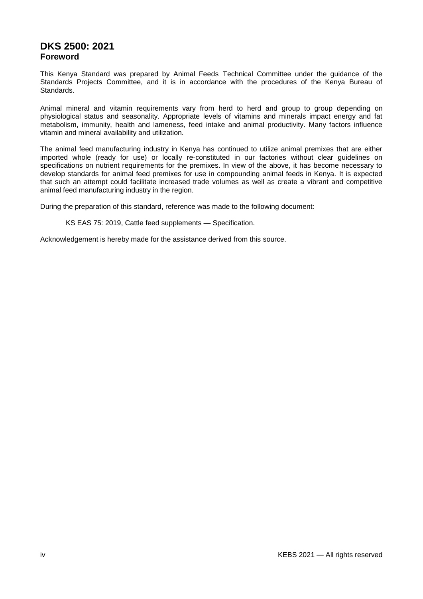# **DKS 2500: 2021 Foreword**

This Kenya Standard was prepared by Animal Feeds Technical Committee under the guidance of the Standards Projects Committee, and it is in accordance with the procedures of the Kenya Bureau of Standards.

Animal mineral and vitamin requirements vary from herd to herd and group to group depending on physiological status and seasonality. Appropriate levels of vitamins and minerals impact energy and fat metabolism, immunity, health and lameness, feed intake and animal productivity. Many factors influence vitamin and mineral availability and utilization.

The animal feed manufacturing industry in Kenya has continued to utilize animal premixes that are either imported whole (ready for use) or locally re-constituted in our factories without clear guidelines on specifications on nutrient requirements for the premixes. In view of the above, it has become necessary to develop standards for animal feed premixes for use in compounding animal feeds in Kenya. It is expected that such an attempt could facilitate increased trade volumes as well as create a vibrant and competitive animal feed manufacturing industry in the region.

During the preparation of this standard, reference was made to the following document:

KS EAS 75: 2019, Cattle feed supplements — Specification.

Acknowledgement is hereby made for the assistance derived from this source.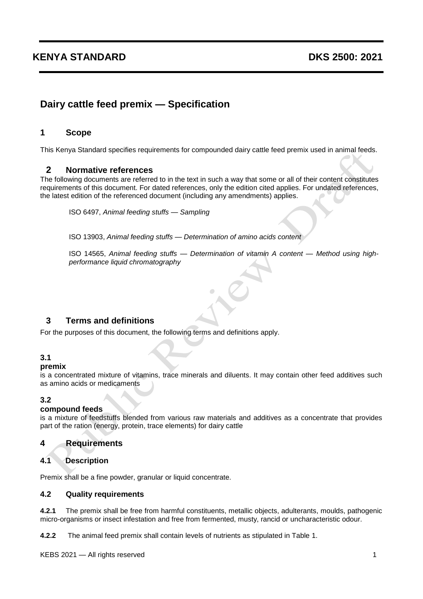# **KENYA STANDARD DKS 2500: 2021**

# **Dairy cattle feed premix — Specification**

# **1 Scope**

This Kenya Standard specifies requirements for compounded dairy cattle feed premix used in animal feeds.

# **2 Normative references**

The following documents are referred to in the text in such a way that some or all of their content constitutes requirements of this document. For dated references, only the edition cited applies. For undated references, the latest edition of the referenced document (including any amendments) applies.

ISO 6497, *Animal feeding stuffs — Sampling*

ISO 13903, *Animal feeding stuffs — Determination of amino acids content*

ISO 14565, *Animal feeding stuffs — Determination of vitamin A content — Method using highperformance liquid chromatography*

# **3 Terms and definitions**

For the purposes of this document, the following terms and definitions apply.

#### **3.1**

#### **[premix](http://en.engormix.com/MA-feed-machinery/topics/feed-processing-manufacturing_t364-p1.htm)**

is a concentrated mixture of vitamins, trace minerals and diluents. It may contain other feed additives such as amino acids or medicaments

# **3.2**

#### **compound feeds**

is a mixture of feedstuffs blended from various raw materials and additives as a concentrate that provides part of the ration (energy, protein, trace elements) for dairy cattle

# **4 Requirements**

# **4.1 Description**

Premix shall be a fine powder, granular or liquid concentrate.

#### **4.2 Quality requirements**

**4.2.1** The premix shall be free from harmful constituents, metallic objects, adulterants, moulds, pathogenic micro-organisms or insect infestation and free from fermented, musty, rancid or uncharacteristic odour.

**4.2.2** The animal feed premix shall contain levels of nutrients as stipulated in Table 1.

KEBS 2021 — All rights reserved 1 and 2008 1 and 2008 1 and 2008 1 and 2008 1 and 2008 1 and 2008 1 and 2008 1 and 2008 1 and 2008 1 and 2008 1 and 2008 1 and 2008 1 and 2008 1 and 2008 1 and 2008 1 and 2008 1 and 2008 1 a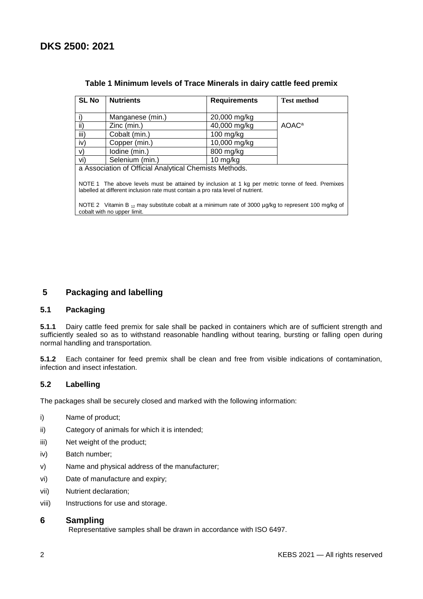| <b>SL No</b>                                                                                                                                                                        | <b>Nutrients</b> | <b>Requirements</b> | <b>Test method</b> |  |  |
|-------------------------------------------------------------------------------------------------------------------------------------------------------------------------------------|------------------|---------------------|--------------------|--|--|
|                                                                                                                                                                                     | Manganese (min.) | 20,000 mg/kg        |                    |  |  |
| ii)                                                                                                                                                                                 | Zinc (min.)      | 40,000 mg/kg        | AOAC <sup>a</sup>  |  |  |
| iii)                                                                                                                                                                                | Cobalt (min.)    | $100$ mg/kg         |                    |  |  |
| iv)                                                                                                                                                                                 | Copper (min.)    | 10,000 mg/kg        |                    |  |  |
| V)                                                                                                                                                                                  | lodine (min.)    | 800 mg/kg           |                    |  |  |
| vi)                                                                                                                                                                                 | Selenium (min.)  | 10 mg/kg            |                    |  |  |
| a Association of Official Analytical Chemists Methods.                                                                                                                              |                  |                     |                    |  |  |
| NOTE 1 The above levels must be attained by inclusion at 1 kg per metric tonne of feed. Premixes<br>labelled at different inclusion rate must contain a pro rata level of nutrient. |                  |                     |                    |  |  |
| NOTE 2 Vitamin B $_{12}$ may substitute cobalt at a minimum rate of 3000 µg/kg to represent 100 mg/kg of<br>cobalt with no upper limit.                                             |                  |                     |                    |  |  |

# **Table 1 Minimum levels of Trace Minerals in dairy cattle feed premix**

# **5 Packaging and labelling**

#### **5.1 Packaging**

**5.1.1** Dairy cattle feed premix for sale shall be packed in containers which are of sufficient strength and sufficiently sealed so as to withstand reasonable handling without tearing, bursting or falling open during normal handling and transportation.

**5.1.2** Each container for feed premix shall be clean and free from visible indications of contamination, infection and insect infestation.

# **5.2 Labelling**

The packages shall be securely closed and marked with the following information:

- i) Name of product;
- ii) Category of animals for which it is intended;
- iii) Net weight of the product;
- iv) Batch number;
- v) Name and physical address of the manufacturer;
- vi) Date of manufacture and expiry;
- vii) Nutrient declaration;
- viii) Instructions for use and storage.

#### **6 Sampling**

Representative samples shall be drawn in accordance with ISO 6497.